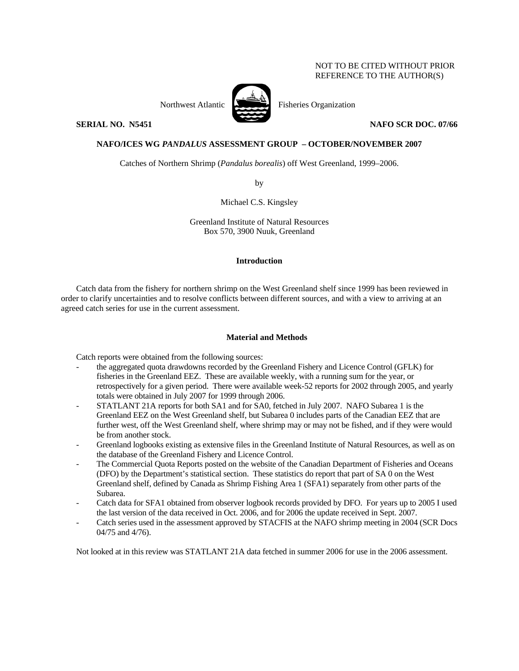## NOT TO BE CITED WITHOUT PRIOR REFERENCE TO THE AUTHOR(S)



Northwest Atlantic Fisheries Organization

**SERIAL NO. N5451** NAFO SCR DOC. 07/66

# **NAFO/ICES WG** *PANDALUS* **ASSESSMENT GROUP – OCTOBER/NOVEMBER 2007**

Catches of Northern Shrimp (*Pandalus borealis*) off West Greenland, 1999–2006.

by

Michael C.S. Kingsley

Greenland Institute of Natural Resources Box 570, 3900 Nuuk, Greenland

## **Introduction**

Catch data from the fishery for northern shrimp on the West Greenland shelf since 1999 has been reviewed in order to clarify uncertainties and to resolve conflicts between different sources, and with a view to arriving at an agreed catch series for use in the current assessment.

## **Material and Methods**

Catch reports were obtained from the following sources:

- the aggregated quota drawdowns recorded by the Greenland Fishery and Licence Control (GFLK) for fisheries in the Greenland EEZ. These are available weekly, with a running sum for the year, or retrospectively for a given period. There were available week-52 reports for 2002 through 2005, and yearly totals were obtained in July 2007 for 1999 through 2006.
- STATLANT 21A reports for both SA1 and for SA0, fetched in July 2007. NAFO Subarea 1 is the Greenland EEZ on the West Greenland shelf, but Subarea 0 includes parts of the Canadian EEZ that are further west, off the West Greenland shelf, where shrimp may or may not be fished, and if they were would be from another stock.
- Greenland logbooks existing as extensive files in the Greenland Institute of Natural Resources, as well as on the database of the Greenland Fishery and Licence Control.
- The Commercial Quota Reports posted on the website of the Canadian Department of Fisheries and Oceans (DFO) by the Department's statistical section. These statistics do report that part of SA 0 on the West Greenland shelf, defined by Canada as Shrimp Fishing Area 1 (SFA1) separately from other parts of the Subarea.
- Catch data for SFA1 obtained from observer logbook records provided by DFO. For years up to 2005 I used the last version of the data received in Oct. 2006, and for 2006 the update received in Sept. 2007.
- Catch series used in the assessment approved by STACFIS at the NAFO shrimp meeting in 2004 (SCR Docs 04/75 and 4/76).

Not looked at in this review was STATLANT 21A data fetched in summer 2006 for use in the 2006 assessment.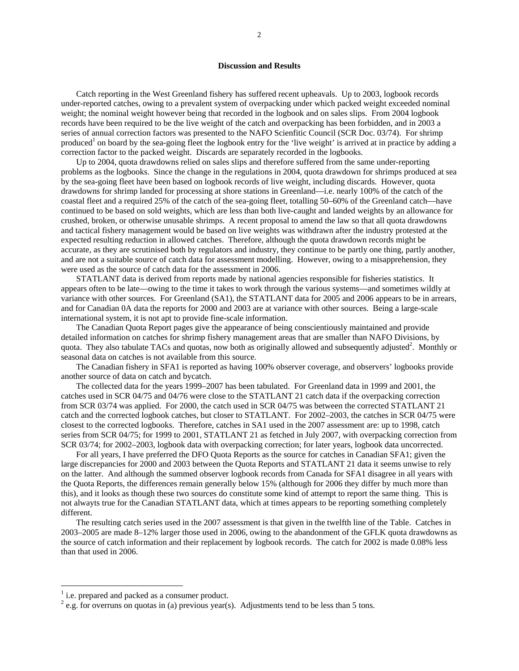### **Discussion and Results**

Catch reporting in the West Greenland fishery has suffered recent upheavals. Up to 2003, logbook records under-reported catches, owing to a prevalent system of overpacking under which packed weight exceeded nominal weight; the nominal weight however being that recorded in the logbook and on sales slips. From 2004 logbook records have been required to be the live weight of the catch and overpacking has been forbidden, and in 2003 a series of annual correction factors was presented to the NAFO Scienfitic Council (SCR Doc. 03/74). For shrimp produced<sup>1</sup> on board by the sea-going fleet the logbook entry for the 'live weight' is arrived at in practice by adding a correction factor to the packed weight. Discards are separately recorded in the logbooks.

Up to 2004, quota drawdowns relied on sales slips and therefore suffered from the same under-reporting problems as the logbooks. Since the change in the regulations in 2004, quota drawdown for shrimps produced at sea by the sea-going fleet have been based on logbook records of live weight, including discards. However, quota drawdowns for shrimp landed for processing at shore stations in Greenland—i.e. nearly 100% of the catch of the coastal fleet and a required 25% of the catch of the sea-going fleet, totalling 50–60% of the Greenland catch—have continued to be based on sold weights, which are less than both live-caught and landed weights by an allowance for crushed, broken, or otherwise unusable shrimps. A recent proposal to amend the law so that all quota drawdowns and tactical fishery management would be based on live weights was withdrawn after the industry protested at the expected resulting reduction in allowed catches. Therefore, although the quota drawdown records might be accurate, as they are scrutinised both by regulators and industry, they continue to be partly one thing, partly another, and are not a suitable source of catch data for assessment modelling. However, owing to a misapprehension, they were used as the source of catch data for the assessment in 2006.

STATLANT data is derived from reports made by national agencies responsible for fisheries statistics. It appears often to be late—owing to the time it takes to work through the various systems—and sometimes wildly at variance with other sources. For Greenland (SA1), the STATLANT data for 2005 and 2006 appears to be in arrears, and for Canadian 0A data the reports for 2000 and 2003 are at variance with other sources. Being a large-scale international system, it is not apt to provide fine-scale information.

The Canadian Quota Report pages give the appearance of being conscientiously maintained and provide detailed information on catches for shrimp fishery management areas that are smaller than NAFO Divisions, by quota. They also tabulate TACs and quotas, now both as originally allowed and subsequently adjusted<sup>2</sup>. Monthly or seasonal data on catches is not available from this source.

The Canadian fishery in SFA1 is reported as having 100% observer coverage, and observers' logbooks provide another source of data on catch and bycatch.

The collected data for the years 1999–2007 has been tabulated. For Greenland data in 1999 and 2001, the catches used in SCR 04/75 and 04/76 were close to the STATLANT 21 catch data if the overpacking correction from SCR 03/74 was applied. For 2000, the catch used in SCR 04/75 was between the corrected STATLANT 21 catch and the corrected logbook catches, but closer to STATLANT. For 2002–2003, the catches in SCR 04/75 were closest to the corrected logbooks. Therefore, catches in SA1 used in the 2007 assessment are: up to 1998, catch series from SCR 04/75; for 1999 to 2001, STATLANT 21 as fetched in July 2007, with overpacking correction from SCR 03/74; for 2002–2003, logbook data with overpacking correction; for later years, logbook data uncorrected.

For all years, I have preferred the DFO Quota Reports as the source for catches in Canadian SFA1; given the large discrepancies for 2000 and 2003 between the Quota Reports and STATLANT 21 data it seems unwise to rely on the latter. And although the summed observer logbook records from Canada for SFA1 disagree in all years with the Quota Reports, the differences remain generally below 15% (although for 2006 they differ by much more than this), and it looks as though these two sources do constitute some kind of attempt to report the same thing. This is not alwayts true for the Canadian STATLANT data, which at times appears to be reporting something completely different.

The resulting catch series used in the 2007 assessment is that given in the twelfth line of the Table. Catches in 2003–2005 are made 8–12% larger those used in 2006, owing to the abandonment of the GFLK quota drawdowns as the source of catch information and their replacement by logbook records. The catch for 2002 is made 0.08% less than that used in 2006.

 $\overline{a}$ 

<sup>&</sup>lt;sup>1</sup> i.e. prepared and packed as a consumer product.

 $^{2}$  e.g. for overruns on quotas in (a) previous year(s). Adjustments tend to be less than 5 tons.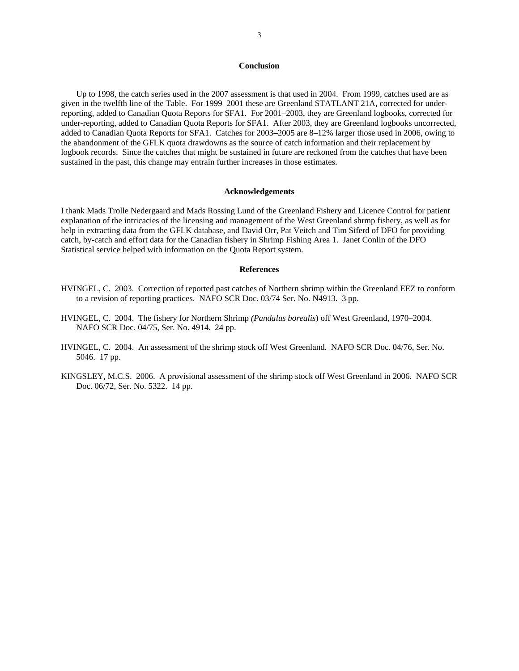### **Conclusion**

Up to 1998, the catch series used in the 2007 assessment is that used in 2004. From 1999, catches used are as given in the twelfth line of the Table. For 1999–2001 these are Greenland STATLANT 21A, corrected for underreporting, added to Canadian Quota Reports for SFA1. For 2001–2003, they are Greenland logbooks, corrected for under-reporting, added to Canadian Quota Reports for SFA1. After 2003, they are Greenland logbooks uncorrected, added to Canadian Quota Reports for SFA1. Catches for 2003–2005 are 8–12% larger those used in 2006, owing to the abandonment of the GFLK quota drawdowns as the source of catch information and their replacement by logbook records. Since the catches that might be sustained in future are reckoned from the catches that have been sustained in the past, this change may entrain further increases in those estimates.

### **Acknowledgements**

I thank Mads Trolle Nedergaard and Mads Rossing Lund of the Greenland Fishery and Licence Control for patient explanation of the intricacies of the licensing and management of the West Greenland shrmp fishery, as well as for help in extracting data from the GFLK database, and David Orr, Pat Veitch and Tim Siferd of DFO for providing catch, by-catch and effort data for the Canadian fishery in Shrimp Fishing Area 1. Janet Conlin of the DFO Statistical service helped with information on the Quota Report system.

#### **References**

- HVINGEL, C. 2003. Correction of reported past catches of Northern shrimp within the Greenland EEZ to conform to a revision of reporting practices. NAFO SCR Doc. 03/74 Ser. No. N4913. 3 pp.
- HVINGEL, C. 2004. The fishery for Northern Shrimp *(Pandalus borealis*) off West Greenland, 1970–2004. NAFO SCR Doc. 04/75, Ser. No. 4914. 24 pp.
- HVINGEL, C. 2004. An assessment of the shrimp stock off West Greenland. NAFO SCR Doc. 04/76, Ser. No. 5046. 17 pp.
- KINGSLEY, M.C.S. 2006. A provisional assessment of the shrimp stock off West Greenland in 2006. NAFO SCR Doc. 06/72, Ser. No. 5322. 14 pp.